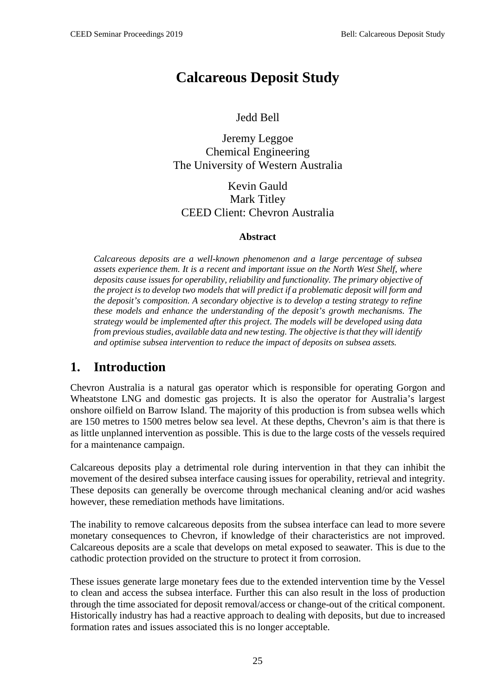# **Calcareous Deposit Study**

Jedd Bell

Jeremy Leggoe Chemical Engineering The University of Western Australia

Kevin Gauld Mark Titley CEED Client: Chevron Australia

#### **Abstract**

*Calcareous deposits are a well-known phenomenon and a large percentage of subsea assets experience them. It is a recent and important issue on the North West Shelf, where deposits cause issues for operability, reliability and functionality. The primary objective of the project is to develop two models that will predict if a problematic deposit will form and the deposit's composition. A secondary objective is to develop a testing strategy to refine these models and enhance the understanding of the deposit's growth mechanisms. The strategy would be implemented after this project. The models will be developed using data from previous studies, available data and new testing. The objective is that they will identify and optimise subsea intervention to reduce the impact of deposits on subsea assets.* 

## **1. Introduction**

Chevron Australia is a natural gas operator which is responsible for operating Gorgon and Wheatstone LNG and domestic gas projects. It is also the operator for Australia's largest onshore oilfield on Barrow Island. The majority of this production is from subsea wells which are 150 metres to 1500 metres below sea level. At these depths, Chevron's aim is that there is as little unplanned intervention as possible. This is due to the large costs of the vessels required for a maintenance campaign.

Calcareous deposits play a detrimental role during intervention in that they can inhibit the movement of the desired subsea interface causing issues for operability, retrieval and integrity. These deposits can generally be overcome through mechanical cleaning and/or acid washes however, these remediation methods have limitations.

The inability to remove calcareous deposits from the subsea interface can lead to more severe monetary consequences to Chevron, if knowledge of their characteristics are not improved. Calcareous deposits are a scale that develops on metal exposed to seawater. This is due to the cathodic protection provided on the structure to protect it from corrosion.

These issues generate large monetary fees due to the extended intervention time by the Vessel to clean and access the subsea interface. Further this can also result in the loss of production through the time associated for deposit removal/access or change-out of the critical component. Historically industry has had a reactive approach to dealing with deposits, but due to increased formation rates and issues associated this is no longer acceptable.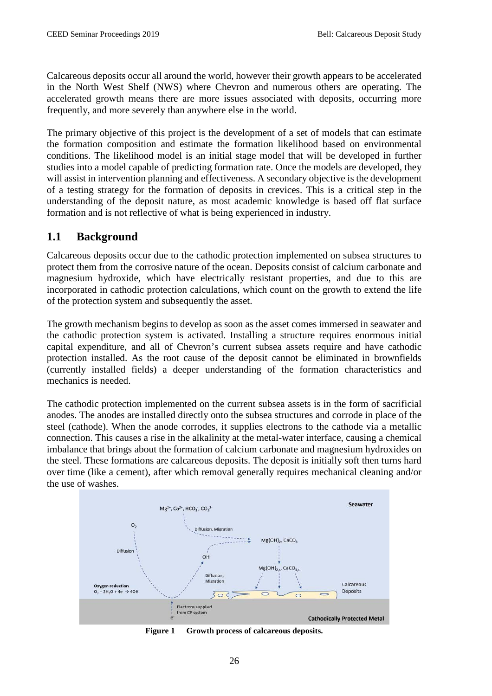Calcareous deposits occur all around the world, however their growth appears to be accelerated in the North West Shelf (NWS) where Chevron and numerous others are operating. The accelerated growth means there are more issues associated with deposits, occurring more frequently, and more severely than anywhere else in the world.

The primary objective of this project is the development of a set of models that can estimate the formation composition and estimate the formation likelihood based on environmental conditions. The likelihood model is an initial stage model that will be developed in further studies into a model capable of predicting formation rate. Once the models are developed, they will assist in intervention planning and effectiveness. A secondary objective is the development of a testing strategy for the formation of deposits in crevices. This is a critical step in the understanding of the deposit nature, as most academic knowledge is based off flat surface formation and is not reflective of what is being experienced in industry.

### **1.1 Background**

Calcareous deposits occur due to the cathodic protection implemented on subsea structures to protect them from the corrosive nature of the ocean. Deposits consist of calcium carbonate and magnesium hydroxide, which have electrically resistant properties, and due to this are incorporated in cathodic protection calculations, which count on the growth to extend the life of the protection system and subsequently the asset.

The growth mechanism begins to develop as soon as the asset comes immersed in seawater and the cathodic protection system is activated. Installing a structure requires enormous initial capital expenditure, and all of Chevron's current subsea assets require and have cathodic protection installed. As the root cause of the deposit cannot be eliminated in brownfields (currently installed fields) a deeper understanding of the formation characteristics and mechanics is needed.

The cathodic protection implemented on the current subsea assets is in the form of sacrificial anodes. The anodes are installed directly onto the subsea structures and corrode in place of the steel (cathode). When the anode corrodes, it supplies electrons to the cathode via a metallic connection. This causes a rise in the alkalinity at the metal-water interface, causing a chemical imbalance that brings about the formation of calcium carbonate and magnesium hydroxides on the steel. These formations are calcareous deposits. The deposit is initially soft then turns hard over time (like a cement), after which removal generally requires mechanical cleaning and/or the use of washes.



**Figure 1 Growth process of calcareous deposits.**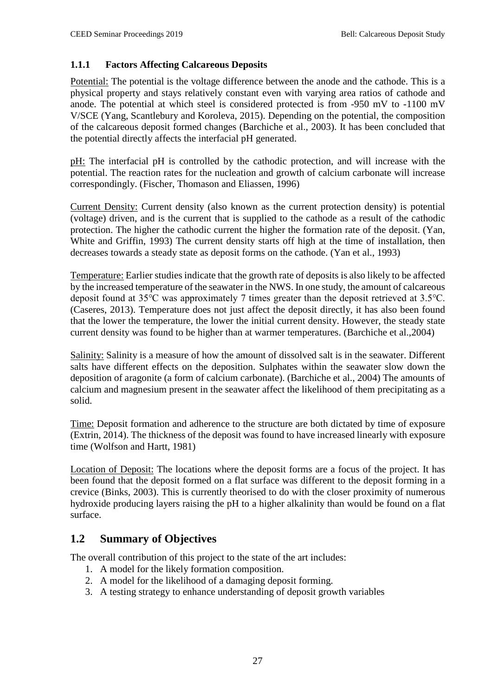#### **1.1.1 Factors Affecting Calcareous Deposits**

Potential: The potential is the voltage difference between the anode and the cathode. This is a physical property and stays relatively constant even with varying area ratios of cathode and anode. The potential at which steel is considered protected is from -950 mV to -1100 mV V/SCE (Yang, Scantlebury and Koroleva, 2015). Depending on the potential, the composition of the calcareous deposit formed changes (Barchiche et al., 2003). It has been concluded that the potential directly affects the interfacial pH generated.

pH: The interfacial pH is controlled by the cathodic protection, and will increase with the potential. The reaction rates for the nucleation and growth of calcium carbonate will increase correspondingly. (Fischer, Thomason and Eliassen, 1996)

Current Density: Current density (also known as the current protection density) is potential (voltage) driven, and is the current that is supplied to the cathode as a result of the cathodic protection. The higher the cathodic current the higher the formation rate of the deposit. (Yan, White and Griffin, 1993) The current density starts off high at the time of installation, then decreases towards a steady state as deposit forms on the cathode. (Yan et al., 1993)

Temperature: Earlier studies indicate that the growth rate of deposits is also likely to be affected by the increased temperature of the seawater in the NWS. In one study, the amount of calcareous deposit found at 35℃ was approximately 7 times greater than the deposit retrieved at 3.5℃. (Caseres, 2013). Temperature does not just affect the deposit directly, it has also been found that the lower the temperature, the lower the initial current density. However, the steady state current density was found to be higher than at warmer temperatures. (Barchiche et al.,2004)

Salinity: Salinity is a measure of how the amount of dissolved salt is in the seawater. Different salts have different effects on the deposition. Sulphates within the seawater slow down the deposition of aragonite (a form of calcium carbonate). (Barchiche et al., 2004) The amounts of calcium and magnesium present in the seawater affect the likelihood of them precipitating as a solid.

Time: Deposit formation and adherence to the structure are both dictated by time of exposure (Extrin, 2014). The thickness of the deposit was found to have increased linearly with exposure time (Wolfson and Hartt, 1981)

Location of Deposit: The locations where the deposit forms are a focus of the project. It has been found that the deposit formed on a flat surface was different to the deposit forming in a crevice (Binks, 2003). This is currently theorised to do with the closer proximity of numerous hydroxide producing layers raising the pH to a higher alkalinity than would be found on a flat surface.

#### **1.2 Summary of Objectives**

The overall contribution of this project to the state of the art includes:

- 1. A model for the likely formation composition.
- 2. A model for the likelihood of a damaging deposit forming.
- 3. A testing strategy to enhance understanding of deposit growth variables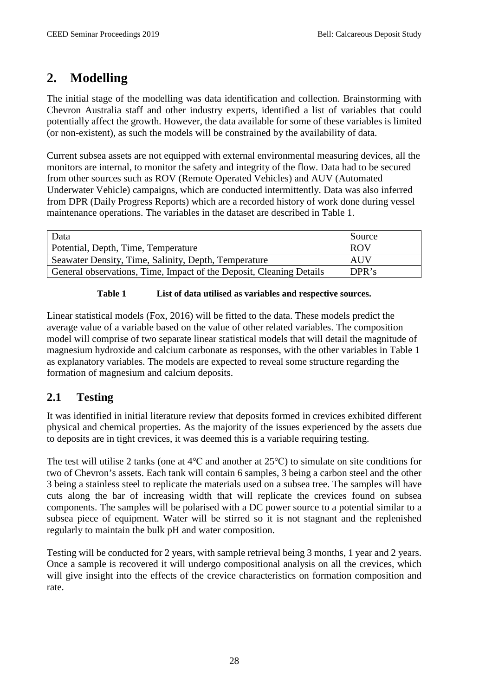## **2. Modelling**

The initial stage of the modelling was data identification and collection. Brainstorming with Chevron Australia staff and other industry experts, identified a list of variables that could potentially affect the growth. However, the data available for some of these variables is limited (or non-existent), as such the models will be constrained by the availability of data.

Current subsea assets are not equipped with external environmental measuring devices, all the monitors are internal, to monitor the safety and integrity of the flow. Data had to be secured from other sources such as ROV (Remote Operated Vehicles) and AUV (Automated Underwater Vehicle) campaigns, which are conducted intermittently. Data was also inferred from DPR (Daily Progress Reports) which are a recorded history of work done during vessel maintenance operations. The variables in the dataset are described in Table 1.

| Data                                                                | Source     |
|---------------------------------------------------------------------|------------|
| Potential, Depth, Time, Temperature                                 | <b>ROV</b> |
| Seawater Density, Time, Salinity, Depth, Temperature                | <b>AUV</b> |
| General observations, Time, Impact of the Deposit, Cleaning Details | DPR's      |

#### **Table 1 List of data utilised as variables and respective sources.**

Linear statistical models (Fox, 2016) will be fitted to the data. These models predict the average value of a variable based on the value of other related variables. The composition model will comprise of two separate linear statistical models that will detail the magnitude of magnesium hydroxide and calcium carbonate as responses, with the other variables in Table 1 as explanatory variables. The models are expected to reveal some structure regarding the formation of magnesium and calcium deposits.

### **2.1 Testing**

It was identified in initial literature review that deposits formed in crevices exhibited different physical and chemical properties. As the majority of the issues experienced by the assets due to deposits are in tight crevices, it was deemed this is a variable requiring testing.

The test will utilise 2 tanks (one at 4℃ and another at 25℃) to simulate on site conditions for two of Chevron's assets. Each tank will contain 6 samples, 3 being a carbon steel and the other 3 being a stainless steel to replicate the materials used on a subsea tree. The samples will have cuts along the bar of increasing width that will replicate the crevices found on subsea components. The samples will be polarised with a DC power source to a potential similar to a subsea piece of equipment. Water will be stirred so it is not stagnant and the replenished regularly to maintain the bulk pH and water composition.

Testing will be conducted for 2 years, with sample retrieval being 3 months, 1 year and 2 years. Once a sample is recovered it will undergo compositional analysis on all the crevices, which will give insight into the effects of the crevice characteristics on formation composition and rate.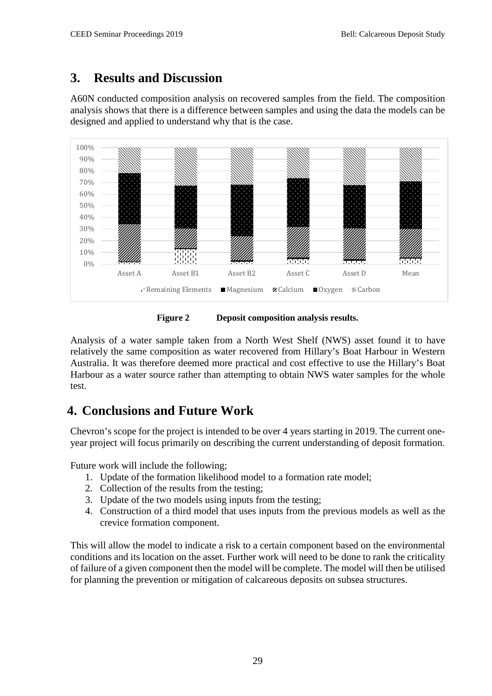# **3. Results and Discussion**

A60N conducted composition analysis on recovered samples from the field. The composition analysis shows that there is a difference between samples and using the data the models can be designed and applied to understand why that is the case.



**Figure 2 Deposit composition analysis results.**

Analysis of a water sample taken from a North West Shelf (NWS) asset found it to have relatively the same composition as water recovered from Hillary's Boat Harbour in Western Australia. It was therefore deemed more practical and cost effective to use the Hillary's Boat Harbour as a water source rather than attempting to obtain NWS water samples for the whole test.

# **4. Conclusions and Future Work**

Chevron's scope for the project is intended to be over 4 years starting in 2019. The current oneyear project will focus primarily on describing the current understanding of deposit formation.

Future work will include the following;

- 1. Update of the formation likelihood model to a formation rate model;
- 2. Collection of the results from the testing;
- 3. Update of the two models using inputs from the testing;
- 4. Construction of a third model that uses inputs from the previous models as well as the crevice formation component.

This will allow the model to indicate a risk to a certain component based on the environmental conditions and its location on the asset. Further work will need to be done to rank the criticality of failure of a given component then the model will be complete. The model will then be utilised for planning the prevention or mitigation of calcareous deposits on subsea structures.